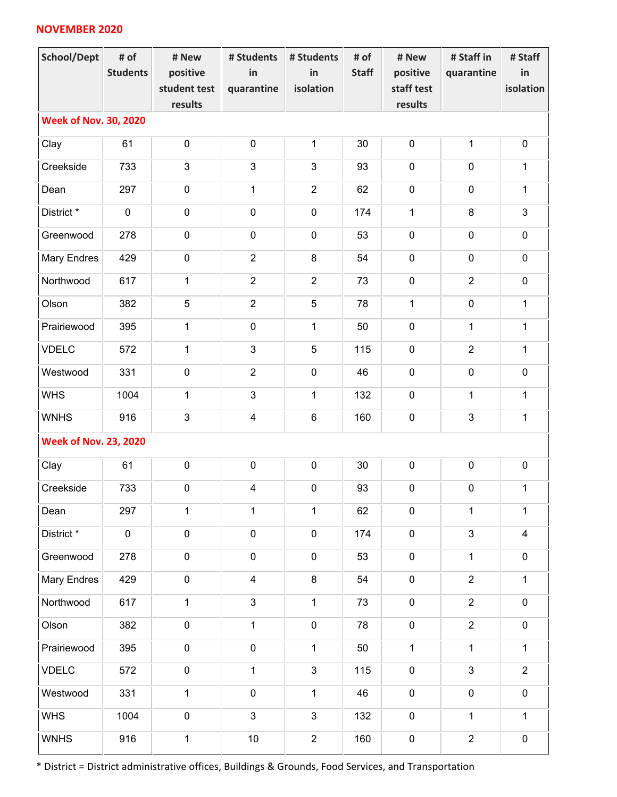## **NOVEMBER 2020**

| <b>School/Dept</b>           | # of<br><b>Students</b>      | # New<br>positive<br>student test<br>results | # Students<br>in<br>quarantine | # Students<br>in<br>isolation | # of<br><b>Staff</b> | # New<br>positive<br>staff test<br>results | # Staff in<br>quarantine | # Staff<br>in<br>isolation |  |  |
|------------------------------|------------------------------|----------------------------------------------|--------------------------------|-------------------------------|----------------------|--------------------------------------------|--------------------------|----------------------------|--|--|
| <b>Week of Nov. 30, 2020</b> |                              |                                              |                                |                               |                      |                                            |                          |                            |  |  |
| Clay                         | 61                           | $\pmb{0}$                                    | $\pmb{0}$                      | $\mathbf 1$                   | 30                   | $\pmb{0}$                                  | $\mathbf 1$              | $\pmb{0}$                  |  |  |
| Creekside                    | 733                          | 3                                            | $\mathbf{3}$                   | 3                             | 93                   | $\pmb{0}$                                  | $\mathbf 0$              | $\mathbf{1}$               |  |  |
| Dean                         | 297                          | $\pmb{0}$                                    | $\mathbf{1}$                   | $\overline{2}$                | 62                   | $\pmb{0}$                                  | $\mathbf 0$              | $\mathbf{1}$               |  |  |
| District *                   | $\mathbf 0$                  | $\pmb{0}$                                    | $\mathbf 0$                    | $\pmb{0}$                     | 174                  | $\mathbf{1}$                               | $\bf 8$                  | $\mathfrak{S}$             |  |  |
| Greenwood                    | 278                          | 0                                            | $\mathbf 0$                    | $\pmb{0}$                     | 53                   | $\mathbf 0$                                | $\mathbf 0$              | $\pmb{0}$                  |  |  |
| <b>Mary Endres</b>           | 429                          | $\pmb{0}$                                    | $\overline{2}$                 | 8                             | 54                   | $\mathbf 0$                                | $\mathbf 0$              | $\pmb{0}$                  |  |  |
| Northwood                    | 617                          | $\mathbf{1}$                                 | $\overline{2}$                 | $\overline{2}$                | 73                   | $\pmb{0}$                                  | $\overline{2}$           | $\pmb{0}$                  |  |  |
| Olson                        | 382                          | 5                                            | $\overline{2}$                 | 5                             | 78                   | $\mathbf{1}$                               | $\mathbf 0$              | $\mathbf{1}$               |  |  |
| Prairiewood                  | 395                          | $\mathbf{1}$                                 | $\mathbf 0$                    | $\mathbf 1$                   | 50                   | $\pmb{0}$                                  | $\mathbf{1}$             | $\mathbf{1}$               |  |  |
| <b>VDELC</b>                 | 572                          | $\mathbf{1}$                                 | $\mathfrak{S}$                 | 5                             | 115                  | $\pmb{0}$                                  | $\overline{2}$           | $\mathbf{1}$               |  |  |
| Westwood                     | 331                          | $\pmb{0}$                                    | $\overline{2}$                 | $\pmb{0}$                     | 46                   | $\pmb{0}$                                  | $\mathbf 0$              | $\pmb{0}$                  |  |  |
| <b>WHS</b>                   | 1004                         | $\mathbf 1$                                  | $\mathfrak{S}$                 | $\mathbf 1$                   | 132                  | $\pmb{0}$                                  | $\mathbf{1}$             | $\mathbf{1}$               |  |  |
| <b>WNHS</b>                  | 916                          | 3                                            | $\overline{4}$                 | $\,6\,$                       | 160                  | $\pmb{0}$                                  | $\mathfrak{S}$           | $\mathbf{1}$               |  |  |
|                              | <b>Week of Nov. 23, 2020</b> |                                              |                                |                               |                      |                                            |                          |                            |  |  |
| Clay                         | 61                           | $\pmb{0}$                                    | $\pmb{0}$                      | $\pmb{0}$                     | 30                   | $\pmb{0}$                                  | $\pmb{0}$                | $\pmb{0}$                  |  |  |
| Creekside                    | 733                          | $\pmb{0}$                                    | $\overline{\mathbf{4}}$        | $\pmb{0}$                     | 93                   | $\pmb{0}$                                  | $\pmb{0}$                | $\mathbf 1$                |  |  |
| Dean                         | 297                          | $\mathbf{1}$                                 | $\mathbf{1}$                   | 1                             | 62                   | $\pmb{0}$                                  | $\mathbf 1$              | $\mathbf{1}$               |  |  |
| District *                   | $\mathbf 0$                  | $\pmb{0}$                                    | $\pmb{0}$                      | $\pmb{0}$                     | 174                  | $\pmb{0}$                                  | $\mathfrak{S}$           | $\overline{\mathbf{4}}$    |  |  |
| Greenwood                    | 278                          | $\pmb{0}$                                    | $\pmb{0}$                      | $\pmb{0}$                     | 53                   | $\pmb{0}$                                  | $\mathbf{1}$             | $\pmb{0}$                  |  |  |
| Mary Endres                  | 429                          | $\pmb{0}$                                    | $\overline{\mathbf{4}}$        | 8                             | 54                   | $\pmb{0}$                                  | $\overline{2}$           | $\mathbf{1}$               |  |  |
| Northwood                    | 617                          | $\mathbf{1}$                                 | $\mathfrak{S}$                 | $\mathbf 1$                   | 73                   | $\pmb{0}$                                  | $\overline{2}$           | $\pmb{0}$                  |  |  |
| Olson                        | 382                          | $\pmb{0}$                                    | $\mathbf{1}$                   | $\pmb{0}$                     | 78                   | $\pmb{0}$                                  | $\overline{2}$           | $\pmb{0}$                  |  |  |
| Prairiewood                  | 395                          | $\pmb{0}$                                    | $\pmb{0}$                      | $\mathbf 1$                   | 50                   | $\mathbf{1}$                               | $\mathbf{1}$             | $\mathbf{1}$               |  |  |
| <b>VDELC</b>                 | 572                          | $\pmb{0}$                                    | $\mathbf{1}$                   | $\mathfrak{S}$                | 115                  | $\pmb{0}$                                  | $\mathbf{3}$             | $\overline{2}$             |  |  |
| Westwood                     | 331                          | $\mathbf{1}$                                 | $\pmb{0}$                      | $\mathbf{1}$                  | 46                   | $\pmb{0}$                                  | $\mathbf 0$              | $\pmb{0}$                  |  |  |
| <b>WHS</b>                   | 1004                         | $\boldsymbol{0}$                             | $\mathbf{3}$                   | 3                             | 132                  | $\pmb{0}$                                  | $\mathbf{1}$             | $\mathbf{1}$               |  |  |
| <b>WNHS</b>                  | 916                          | $\mathbf 1$                                  | $10\,$                         | $\overline{2}$                | 160                  | $\pmb{0}$                                  | $\overline{2}$           | $\pmb{0}$                  |  |  |

\* District = District administrative offices, Buildings & Grounds, Food Services, and Transportation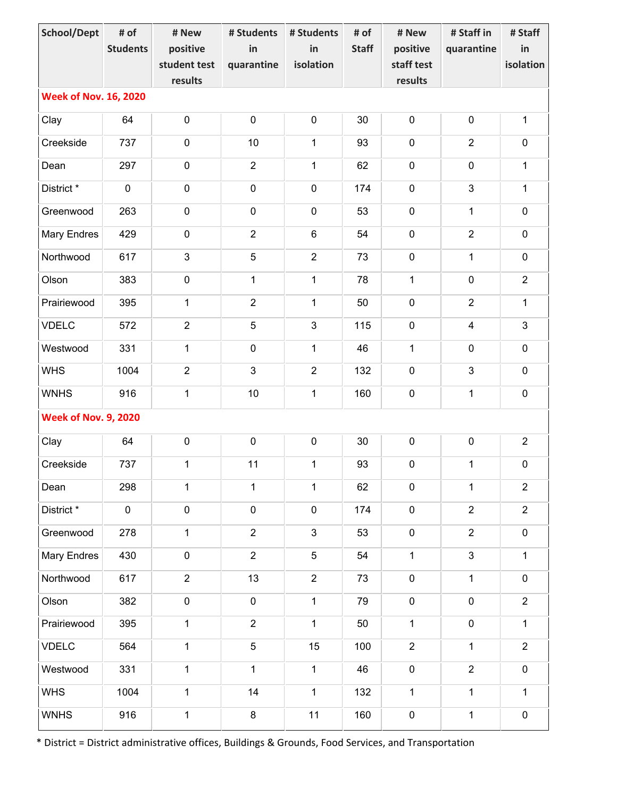| <b>School/Dept</b>           | # of                        | # New          | # Students      | # Students     | # of         | # New          | # Staff in     | # Staff        |  |  |
|------------------------------|-----------------------------|----------------|-----------------|----------------|--------------|----------------|----------------|----------------|--|--|
|                              | <b>Students</b>             | positive       | in              | in             | <b>Staff</b> | positive       | quarantine     | in             |  |  |
|                              |                             | student test   | quarantine      | isolation      |              | staff test     |                | isolation      |  |  |
|                              |                             | results        |                 |                |              | results        |                |                |  |  |
| <b>Week of Nov. 16, 2020</b> |                             |                |                 |                |              |                |                |                |  |  |
| Clay                         | 64                          | $\pmb{0}$      | $\pmb{0}$       | $\pmb{0}$      | 30           | $\pmb{0}$      | $\pmb{0}$      | $\mathbf{1}$   |  |  |
| Creekside                    | 737                         | $\pmb{0}$      | 10              | $\mathbf{1}$   | 93           | $\pmb{0}$      | $\overline{2}$ | $\pmb{0}$      |  |  |
| Dean                         | 297                         | $\pmb{0}$      | $\overline{2}$  | 1              | 62           | $\pmb{0}$      | $\pmb{0}$      | $\mathbf{1}$   |  |  |
| District*                    | $\mathbf 0$                 | $\pmb{0}$      | $\pmb{0}$       | $\pmb{0}$      | 174          | $\pmb{0}$      | $\mathfrak{S}$ | $\mathbf{1}$   |  |  |
| Greenwood                    | 263                         | $\pmb{0}$      | $\mathbf 0$     | $\pmb{0}$      | 53           | $\pmb{0}$      | $\mathbf{1}$   | $\pmb{0}$      |  |  |
| <b>Mary Endres</b>           | 429                         | $\pmb{0}$      | $\overline{2}$  | $\,6\,$        | 54           | $\pmb{0}$      | $\overline{2}$ | $\pmb{0}$      |  |  |
| Northwood                    | 617                         | 3              | 5               | $\overline{2}$ | 73           | $\mathbf 0$    | $\mathbf{1}$   | $\pmb{0}$      |  |  |
| Olson                        | 383                         | $\pmb{0}$      | $\mathbf{1}$    | 1              | 78           | $\mathbf{1}$   | $\mathbf 0$    | $\overline{2}$ |  |  |
| Prairiewood                  | 395                         | $\mathbf{1}$   | $\overline{2}$  | $\mathbf{1}$   | 50           | $\pmb{0}$      | $\overline{2}$ | $\mathbf{1}$   |  |  |
| <b>VDELC</b>                 | 572                         | $\overline{2}$ | 5               | $\mathfrak{B}$ | 115          | $\pmb{0}$      | $\overline{4}$ | $\mathfrak{S}$ |  |  |
| Westwood                     | 331                         | $\mathbf{1}$   | $\pmb{0}$       | $\mathbf{1}$   | 46           | $\mathbf{1}$   | $\pmb{0}$      | $\pmb{0}$      |  |  |
| <b>WHS</b>                   | 1004                        | $\overline{2}$ | $\mathfrak{S}$  | $\overline{2}$ | 132          | $\pmb{0}$      | $\mathfrak{S}$ | $\pmb{0}$      |  |  |
| <b>WNHS</b>                  | 916                         | $\mathbf{1}$   | 10              | $\mathbf 1$    | 160          | $\pmb{0}$      | $\mathbf{1}$   | $\pmb{0}$      |  |  |
|                              | <b>Week of Nov. 9, 2020</b> |                |                 |                |              |                |                |                |  |  |
| Clay                         | 64                          | $\pmb{0}$      | $\pmb{0}$       | $\pmb{0}$      | 30           | $\pmb{0}$      | $\pmb{0}$      | $\overline{2}$ |  |  |
| Creekside                    | 737                         | $\mathbf 1$    | 11              | $\mathbf{1}$   | 93           | $\pmb{0}$      | $\mathbf 1$    | $\pmb{0}$      |  |  |
| Dean                         | 298                         | $\mathbf{1}$   | $\mathbf{1}$    | $\mathbf{1}$   | 62           | $\pmb{0}$      | $\mathbf{1}$   | $\overline{2}$ |  |  |
| District *                   | $\mathbf 0$                 | $\pmb{0}$      | $\pmb{0}$       | $\pmb{0}$      | 174          | $\pmb{0}$      | $\overline{2}$ | $\overline{2}$ |  |  |
| Greenwood                    | 278                         | $\mathbf{1}$   | $\overline{2}$  | $\mathfrak{Z}$ | 53           | $\pmb{0}$      | $\overline{2}$ | $\pmb{0}$      |  |  |
| <b>Mary Endres</b>           | 430                         | $\pmb{0}$      | $\overline{2}$  | $\overline{5}$ | 54           | $\mathbf{1}$   | $\mathfrak{S}$ | $\mathbf{1}$   |  |  |
| Northwood                    | 617                         | $\overline{2}$ | 13              | $\overline{2}$ | 73           | $\pmb{0}$      | $\mathbf{1}$   | $\pmb{0}$      |  |  |
| Olson                        | 382                         | $\pmb{0}$      | $\pmb{0}$       | $\mathbf{1}$   | 79           | $\pmb{0}$      | $\pmb{0}$      | $\overline{2}$ |  |  |
| Prairiewood                  | 395                         | $\mathbf{1}$   | $\overline{2}$  | $\mathbf{1}$   | 50           | $\mathbf{1}$   | $\pmb{0}$      | $\mathbf{1}$   |  |  |
| <b>VDELC</b>                 | 564                         | $\mathbf{1}$   | $5\phantom{.0}$ | 15             | 100          | $\overline{2}$ | $\mathbf{1}$   | $\overline{2}$ |  |  |
| Westwood                     | 331                         | $\mathbf{1}$   | $\mathbf{1}$    | $\mathbf{1}$   | 46           | $\pmb{0}$      | $\overline{2}$ | $\pmb{0}$      |  |  |
| <b>WHS</b>                   | 1004                        | $\mathbf{1}$   | 14              | $\mathbf{1}$   | 132          | $\mathbf{1}$   | $\mathbf{1}$   | $\mathbf{1}$   |  |  |
| <b>WNHS</b>                  | 916                         | $\mathbf 1$    | 8               | 11             | 160          | $\pmb{0}$      | $\mathbf{1}$   | $\pmb{0}$      |  |  |

\* District = District administrative offices, Buildings & Grounds, Food Services, and Transportation